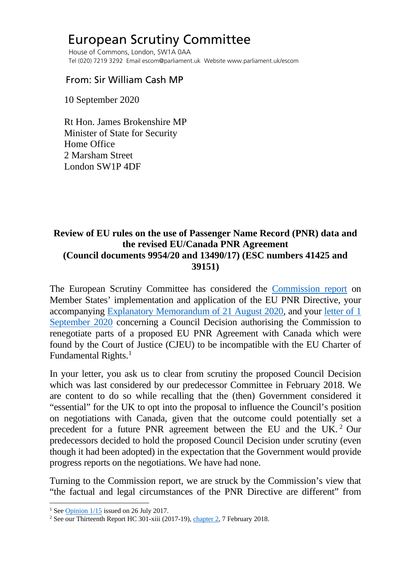## European Scrutiny Committee

 House of Commons, London, SW1A 0AA Tel (020) 7219 3292 Email escom@parliament.uk Website www.parliament.uk/escom

## From: Sir William Cash MP

10 September 2020

 Rt Hon. James Brokenshire MP Minister of State for Security Home Office 2 Marsham Street London SW1P 4DF

## **Review of EU rules on the use of Passenger Name Record (PNR) data and the revised EU/Canada PNR Agreement (Council documents 9954/20 and 13490/17) (ESC numbers 41425 and 39151)**

The European Scrutiny Committee has considered the [Commission report](http://europeanmemoranda.cabinetoffice.gov.uk/files/2020/07/COM-2020-305-F1-EN-MAIN-PART-1.PDF) on Member States' implementation and application of the EU PNR Directive, your accompanying [Explanatory Memorandum of 21 August 2020,](http://europeanmemoranda.cabinetoffice.gov.uk/files/2020/08/EM_9954_20_+_Add_1.pdf) and your [letter of 1](http://europeanmemoranda.cabinetoffice.gov.uk/files/2020/09/Letter_from_the_Security_Minister_to_ESC_Chair_01092020.pdf)  [September 2020](http://europeanmemoranda.cabinetoffice.gov.uk/files/2020/09/Letter_from_the_Security_Minister_to_ESC_Chair_01092020.pdf) concerning a Council Decision authorising the Commission to renegotiate parts of a proposed EU PNR Agreement with Canada which were found by the Court of Justice (CJEU) to be incompatible with the EU Charter of Fundamental Rights.<sup>[1](#page-0-0)</sup>

In your letter, you ask us to clear from scrutiny the proposed Council Decision which was last considered by our predecessor Committee in February 2018. We are content to do so while recalling that the (then) Government considered it "essential" for the UK to opt into the proposal to influence the Council's position on negotiations with Canada, given that the outcome could potentially set a precedent for a future PNR agreement between the EU and the UK. [2](#page-0-1) Our predecessors decided to hold the proposed Council Decision under scrutiny (even though it had been adopted) in the expectation that the Government would provide progress reports on the negotiations. We have had none.

Turning to the Commission report, we are struck by the Commission's view that "the factual and legal circumstances of the PNR Directive are different" from

<span id="page-0-1"></span><span id="page-0-0"></span><sup>&</sup>lt;sup>1</sup> See Opinion  $1/15$  issued on 26 July 2017.<br><sup>2</sup> See our Thirteenth Report HC 301-xiii (2017-19), [chapter 2,](https://publications.parliament.uk/pa/cm201719/cmselect/cmeuleg/301-xiii/30105.htm#_idTextAnchor007) 7 February 2018.